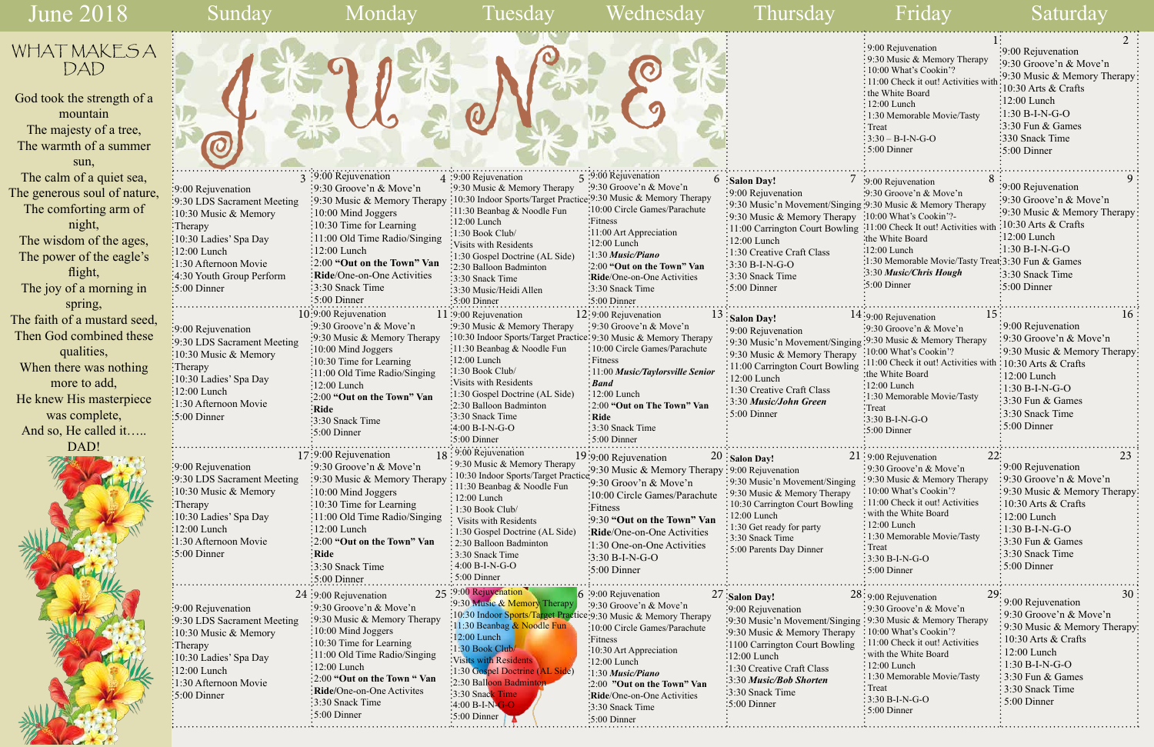June 2018

Ï Sunday Monday Tuesday Wednesday Thursday Friday Saturday  $\frac{1}{2}$  $\frac{3}{3}$ :9:00 Rejuvenation  $\frac{4}{3}$ :9:00 Rejuvenation  $\frac{5}{3}$ :9:00 Rejuvenation  $\frac{5}{3}$ :9:00 Rejuvenation  $\frac{5}{3}$ :9:00 Rejuvenation  $\frac{5}{3}$ :9:00 Rejuvenation  $\frac{5}{3}$ :9:00 Rejuvenation  $\frac{5}{3}$ :9:00 Rejuvenati  $3:9:00$  Rejuvenation 9:30 Groove'n & Move'n 9:30 Music & Memory Therapy 10:30 Indoor Sports/Target Practice 9:30 Music & Memory Therapy 10:00 Mind Joggers  $\frac{1}{2}10:30$  Time for Learning 11:00 Old Time Radio/Singing  $\frac{1}{2}$ :00 Lunch 2:00 **"Out on the Town" Van Ride**/One-on-One Activities 3:30 Snack Time 5:00 Dinner 9:00 Rejuvenation 9:30 LDS Sacrament Meeting 10:30 Music & Memory :Therapy 10:30 Ladies' Spa Day :12:00 Lunch 1:30 Afternoon Movie 4:30 Youth Group Perform 5:00 Dinner 4 :9:00 Rejuvenation 9:30 Music & Memory Therapy 11:30 Beanbag & Noodle Fun 12:00 Lunch 1:30 Book Club/ Visits with Residents 1:30 Gospel Doctrine (AL Side) 2:30 Balloon Badminton 3:30 Snack Time 3:30 Music/Heidi Allen  $\frac{5:00}{5:00}$  Dinner 11:9:00 Rejuvenation 9:30 Music & Memory Therapy 10:30 Indoor Sports/Target Practice 9:30 Music & Memory Therapy 11:30 Beanbag & Noodle Fun :12:00 Lunch 1:30 Book Club/ **Salon Day!** 9:00 Rejuvenation 9:00 Rejuvenation 9:30 LDS Sacrament Meeting :10:30 Music & Memory Therapy 12:9:00 Rejuvenation 9:30 Groove'n & Move'n 10:00 Circle Games/Parachute Fitness 11:00 *Music/Taylorsville Senior*  10:9:00 Rejuvenation 9:30 Groove'n & Move'n 9:30 Music & Memory Therapy :10:00 Mind Joggers 10:30 Time for Learning 11:00 Old Time Radio/Singing  $\frac{1}{5}$ :9:00 Rejuvenation 9:30 Groove'n & Move'n 10:00 Circle Games/Parachute Fitness 11:00 Art Appreciation 12:00 Lunch 1:30 *Music/Piano* 2:00 **"Out on the Town" Van Ride**/One-on-One Activities 3:30 Snack Time 5:00 Dinner WHAT MAKES A DAD God took the strength of a mountain The majesty of a tree, The warmth of a summer sun, The calm of a quiet sea, The generous soul of nature, The comforting arm of night, The wisdom of the ages, The power of the eagle's flight, The joy of a morning in spring, The faith of a mustard seed, Then God combined these qualities, When there was nothing J & U & N& E



|            | $\Gamma$                                            | 2                                                       |
|------------|-----------------------------------------------------|---------------------------------------------------------|
|            | 9:00 Rejuvenation                                   | 9:00 Rejuvenation                                       |
|            | 9:30 Music & Memory Therapy                         | $9:30$ Groove'n & Move'n                                |
|            | 10:00 What's Cookin'?                               | 9:30 Music & Memory Therapy:                            |
|            | 11:00 Check it out! Activities with                 | 10:30 Arts & Crafts                                     |
|            | the White Board                                     |                                                         |
|            | 12:00 Lunch                                         | $12:00$ Lunch                                           |
|            | 1:30 Memorable Movie/Tasty                          | $1:30 B-I-N-G-O$                                        |
|            | Treat                                               | 3:30 Fun & Games                                        |
|            | $3:30 - B-I-N-G-O$                                  | 330 Snack Time                                          |
|            | 5:00 Dinner                                         | 5:00 Dinner                                             |
|            |                                                     |                                                         |
| 7          | 8<br>39:00 Rejuvenation                             | 9                                                       |
|            | :9:30 Groove'n & Move'n                             | 9:00 Rejuvenation                                       |
|            | ging :9:30 Music & Memory Therapy                   | $\cdot$ 9:30 Groove'n & Move'n                          |
| pу         | :10:00 What's Cookin'?-                             | :9:30 Music & Memory Therapy                            |
| ing        | :11:00 Check It out! Activities with                | 10:30 Arts & Crafts                                     |
|            | the White Board:                                    | $12:00$ Lunch                                           |
|            | :12:00 Lunch                                        | $\frac{1:30 \text{ B-I-N-G-O}}{1:30 \text{ B-I-N-G-O}}$ |
|            | :1:30 Memorable Movie/Tasty Treat: 3:30 Fun & Games |                                                         |
|            | 3:30 Music/Chris Hough                              | 3:30 Snack Time                                         |
|            | :5:00 Dinner                                        | $\frac{1}{2}$ 5:00 Dinner                               |
|            |                                                     |                                                         |
|            | 15<br>14:9:00 Rejuvenation                          | 16                                                      |
|            | :9:30 Groove'n & Move'n                             | 9:00 Rejuvenation                                       |
| zing       | :9:30 Music & Memory Therapy                        | 9:30 Groove'n & Move'n                                  |
| ру         | 10:00 What's Cookin'?                               | 9:30 Music & Memory Therapy                             |
| ing        | 11:00 Check it out! Activities with                 | 10:30 Arts $&$ Crafts                                   |
|            | the White Board                                     | 12:00 Lunch                                             |
|            | $12:00$ Lunch                                       | $1:30 B-I-N-G-O$                                        |
|            | 1:30 Memorable Movie/Tasty                          | 3:30 Fun & Games                                        |
|            | Treat                                               | 3:30 Snack Time                                         |
|            | 3:30 B-I-N-G-O                                      | 5:00 Dinner                                             |
|            | 5:00 Dinner                                         |                                                         |
|            | 22:                                                 | 23                                                      |
|            | 21:9:00 Rejuvenation<br>9:30 Groove'n & Move'n      | 9:00 Rejuvenation                                       |
|            | 9:30 Music & Memory Therapy                         | 9:30 Groove'n & Move'n                                  |
| ng         | 10:00 What's Cookin'?                               | 9:30 Music & Memory Therapy:                            |
| y<br>1g    | 11:00 Check it out! Activities                      | 10:30 Arts & Crafts                                     |
|            | with the White Board                                | 12:00 Lunch                                             |
|            | 12:00 Lunch                                         | 1:30 B-I-N-G-O                                          |
|            | 1:30 Memorable Movie/Tasty                          | 3:30 Fun & Games                                        |
|            | Treat                                               | 3:30 Snack Time                                         |
|            | 3:30 B-I-N-G-O                                      | 5:00 Dinner                                             |
|            | 5:00 Dinner                                         |                                                         |
|            |                                                     |                                                         |
|            | 29<br>28:9:00 Rejuvenation                          | 30<br>9:00 Rejuvenation                                 |
|            | 9:30 Groove'n & Move'n                              | 9:30 Groove'n & Move'n                                  |
| <i>ing</i> | 9:30 Music & Memory Therapy                         | 9:30 Music & Memory Therapy:                            |
| pу         | 10:00 What's Cookin'?                               | 10:30 Arts & Crafts                                     |
| ng         | 11:00 Check it out! Activities                      | 12:00 Lunch                                             |
|            | with the White Board                                |                                                         |
|            | $12:00$ Lunch                                       | 1:30 B-I-N-G-O                                          |
|            | 1:30 Memorable Movie/Tasty<br>Treat                 | 3:30 Fun & Games                                        |
|            | 3:30 B-I-N-G-O                                      | 3:30 Snack Time                                         |
|            | 5:00 Dinner                                         | 5:00 Dinner                                             |
|            |                                                     |                                                         |
|            |                                                     |                                                         |

more to add, He knew His masterpiece was complete, And so, He called it….. DAD!